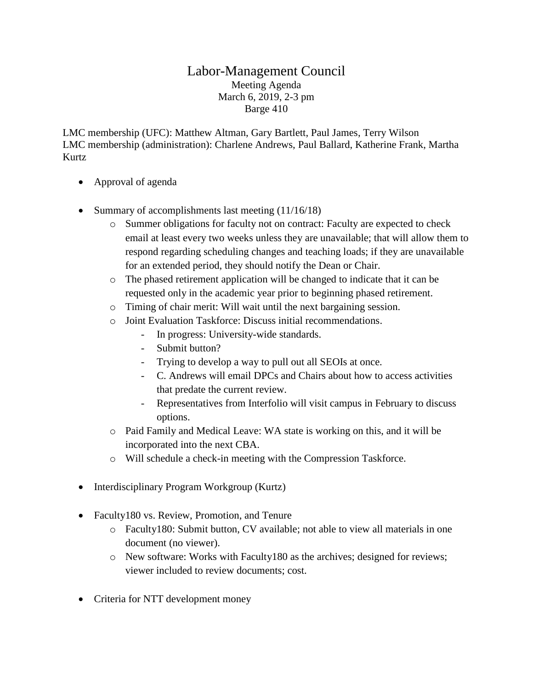## Labor-Management Council Meeting Agenda March 6, 2019, 2-3 pm Barge 410

LMC membership (UFC): Matthew Altman, Gary Bartlett, Paul James, Terry Wilson LMC membership (administration): Charlene Andrews, Paul Ballard, Katherine Frank, Martha Kurtz

- Approval of agenda
- Summary of accomplishments last meeting  $(11/16/18)$ 
	- o Summer obligations for faculty not on contract: Faculty are expected to check email at least every two weeks unless they are unavailable; that will allow them to respond regarding scheduling changes and teaching loads; if they are unavailable for an extended period, they should notify the Dean or Chair.
	- o The phased retirement application will be changed to indicate that it can be requested only in the academic year prior to beginning phased retirement.
	- o Timing of chair merit: Will wait until the next bargaining session.
	- o Joint Evaluation Taskforce: Discuss initial recommendations.
		- In progress: University-wide standards.
		- Submit button?
		- Trying to develop a way to pull out all SEOIs at once.
		- C. Andrews will email DPCs and Chairs about how to access activities that predate the current review.
		- Representatives from Interfolio will visit campus in February to discuss options.
	- o Paid Family and Medical Leave: WA state is working on this, and it will be incorporated into the next CBA.
	- o Will schedule a check-in meeting with the Compression Taskforce.
- Interdisciplinary Program Workgroup (Kurtz)
- Faculty180 vs. Review, Promotion, and Tenure
	- o Faculty180: Submit button, CV available; not able to view all materials in one document (no viewer).
	- o New software: Works with Faculty180 as the archives; designed for reviews; viewer included to review documents; cost.
- Criteria for NTT development money